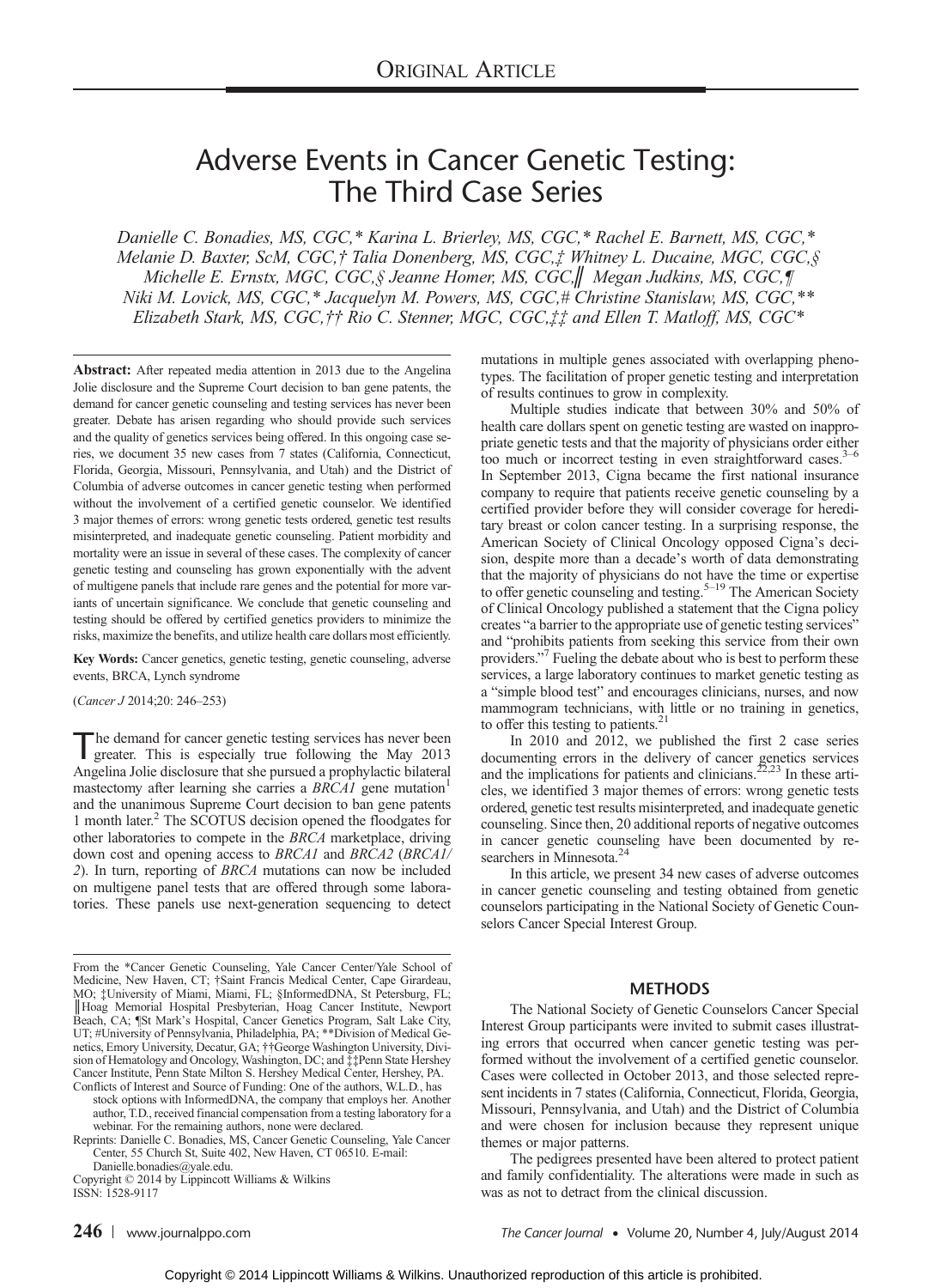# Adverse Events in Cancer Genetic Testing: The Third Case Series

Danielle C. Bonadies, MS, CGC,\* Karina L. Brierley, MS, CGC,\* Rachel E. Barnett, MS, CGC,\* Melanie D. Baxter, ScM, CGC,† Talia Donenberg, MS, CGC,‡ Whitney L. Ducaine, MGC, CGC,§ Michelle E. Ernstx, MGC, CGC, § Jeanne Homer, MS, CGC, || Megan Judkins, MS, CGC, ¶ Niki M. Lovick, MS, CGC,\* Jacquelyn M. Powers, MS, CGC,# Christine Stanislaw, MS, CGC,\*\* Elizabeth Stark, MS, CGC,†† Rio C. Stenner, MGC, CGC,‡‡ and Ellen T. Matloff, MS, CGC\*

Abstract: After repeated media attention in 2013 due to the Angelina Jolie disclosure and the Supreme Court decision to ban gene patents, the demand for cancer genetic counseling and testing services has never been greater. Debate has arisen regarding who should provide such services and the quality of genetics services being offered. In this ongoing case series, we document 35 new cases from 7 states (California, Connecticut, Florida, Georgia, Missouri, Pennsylvania, and Utah) and the District of Columbia of adverse outcomes in cancer genetic testing when performed without the involvement of a certified genetic counselor. We identified 3 major themes of errors: wrong genetic tests ordered, genetic test results misinterpreted, and inadequate genetic counseling. Patient morbidity and mortality were an issue in several of these cases. The complexity of cancer genetic testing and counseling has grown exponentially with the advent of multigene panels that include rare genes and the potential for more variants of uncertain significance. We conclude that genetic counseling and testing should be offered by certified genetics providers to minimize the risks, maximize the benefits, and utilize health care dollars most efficiently.

Key Words: Cancer genetics, genetic testing, genetic counseling, adverse events, BRCA, Lynch syndrome

(Cancer J 2014;20: 246–253)

The demand for cancer genetic testing services has never been greater. This is especially true following the May 2013 Angelina Jolie disclosure that she pursued a prophylactic bilateral mastectomy after learning she carries a  $BRCA1$  gene mutation<sup>1</sup> and the unanimous Supreme Court decision to ban gene patents 1 month later.<sup>2</sup> The SCOTUS decision opened the floodgates for other laboratories to compete in the BRCA marketplace, driving down cost and opening access to BRCA1 and BRCA2 (BRCA1/ 2). In turn, reporting of BRCA mutations can now be included on multigene panel tests that are offered through some laboratories. These panels use next-generation sequencing to detect

Copyright © 2014 by Lippincott Williams & Wilkins ISSN: 1528-9117

mutations in multiple genes associated with overlapping phenotypes. The facilitation of proper genetic testing and interpretation of results continues to grow in complexity.

Multiple studies indicate that between 30% and 50% of health care dollars spent on genetic testing are wasted on inappropriate genetic tests and that the majority of physicians order either too much or incorrect testing in even straightforward cases. $3-6$ In September 2013, Cigna became the first national insurance company to require that patients receive genetic counseling by a certified provider before they will consider coverage for hereditary breast or colon cancer testing. In a surprising response, the American Society of Clinical Oncology opposed Cigna's decision, despite more than a decade's worth of data demonstrating that the majority of physicians do not have the time or expertise to offer genetic counseling and testing.<sup>5–19</sup> The American Society of Clinical Oncology published a statement that the Cigna policy creates "a barrier to the appropriate use of genetic testing services" and "prohibits patients from seeking this service from their own providers." <sup>7</sup> Fueling the debate about who is best to perform these services, a large laboratory continues to market genetic testing as a "simple blood test" and encourages clinicians, nurses, and now mammogram technicians, with little or no training in genetics, to offer this testing to patients.<sup>21</sup>

In 2010 and 2012, we published the first 2 case series documenting errors in the delivery of cancer genetics services and the implications for patients and clinicians.<sup>22,23</sup> In these articles, we identified 3 major themes of errors: wrong genetic tests ordered, genetic test results misinterpreted, and inadequate genetic counseling. Since then, 20 additional reports of negative outcomes in cancer genetic counseling have been documented by researchers in Minnesota.<sup>24</sup>

In this article, we present 34 new cases of adverse outcomes in cancer genetic counseling and testing obtained from genetic counselors participating in the National Society of Genetic Counselors Cancer Special Interest Group.

# METHODS

The National Society of Genetic Counselors Cancer Special Interest Group participants were invited to submit cases illustrating errors that occurred when cancer genetic testing was performed without the involvement of a certified genetic counselor. Cases were collected in October 2013, and those selected represent incidents in 7 states (California, Connecticut, Florida, Georgia, Missouri, Pennsylvania, and Utah) and the District of Columbia and were chosen for inclusion because they represent unique themes or major patterns.

The pedigrees presented have been altered to protect patient and family confidentiality. The alterations were made in such as was as not to detract from the clinical discussion.

246 www.journalppo.com  $246$  | www.journalppo.com  $2014$ 

Copyright © 2014 Lippincott Williams & Wilkins. Unauthorized reproduction of this article is prohibited.

From the \*Cancer Genetic Counseling, Yale Cancer Center/Yale School of Medicine, New Haven, CT; †Saint Francis Medical Center, Cape Girardeau, MO; ‡University of Miami, Miami, FL; §InformedDNA, St Petersburg, FL; ║Hoag Memorial Hospital Presbyterian, Hoag Cancer Institute, Newport Beach, CA; ¶St Mark's Hospital, Cancer Genetics Program, Salt Lake City, UT; #University of Pennsylvania, Philadelphia, PA; \*\*Division of Medical Genetics, Emory University, Decatur, GA; ††George Washington University, Division of Hematology and Oncology, Washington, DC; and ‡‡Penn State Hershey Cancer Institute, Penn State Milton S. Hershey Medical Center, Hershey, PA. Conflicts of Interest and Source of Funding: One of the authors, W.L.D., has

stock options with InformedDNA, the company that employs her. Another author, T.D., received financial compensation from a testing laboratory for a webinar. For the remaining authors, none were declared.

Reprints: Danielle C. Bonadies, MS, Cancer Genetic Counseling, Yale Cancer Center, 55 Church St, Suite 402, New Haven, CT 06510. E-mail: [Danielle.bonadies@yale.edu](mailto:Danielle.bonadies@yale.edu).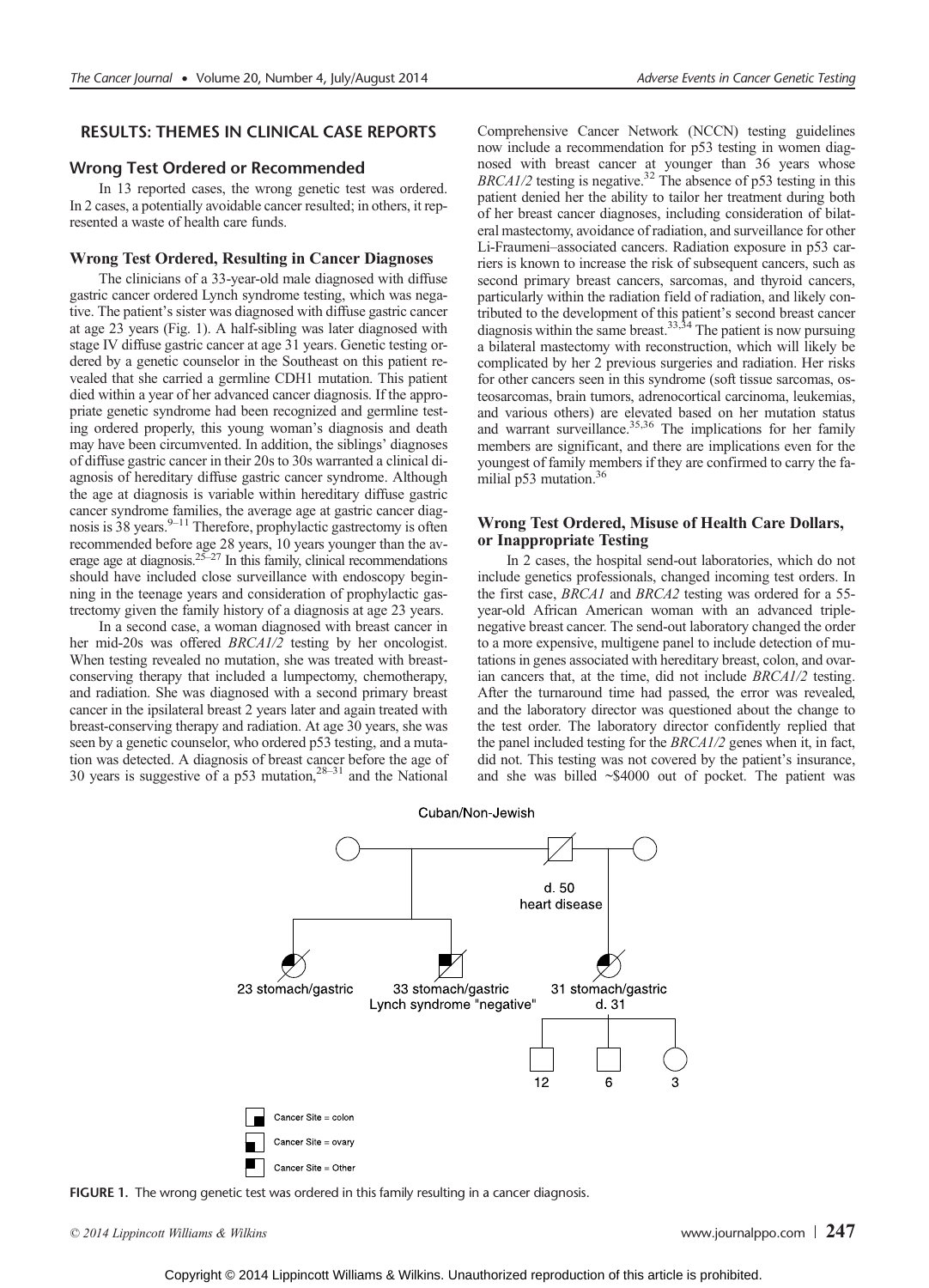# RESULTS: THEMES IN CLINICAL CASE REPORTS

#### Wrong Test Ordered or Recommended

In 13 reported cases, the wrong genetic test was ordered. In 2 cases, a potentially avoidable cancer resulted; in others, it represented a waste of health care funds.

#### Wrong Test Ordered, Resulting in Cancer Diagnoses

The clinicians of a 33-year-old male diagnosed with diffuse gastric cancer ordered Lynch syndrome testing, which was negative. The patient's sister was diagnosed with diffuse gastric cancer at age 23 years (Fig. 1). A half-sibling was later diagnosed with stage IV diffuse gastric cancer at age 31 years. Genetic testing ordered by a genetic counselor in the Southeast on this patient revealed that she carried a germline CDH1 mutation. This patient died within a year of her advanced cancer diagnosis. If the appropriate genetic syndrome had been recognized and germline testing ordered properly, this young woman's diagnosis and death may have been circumvented. In addition, the siblings' diagnoses of diffuse gastric cancer in their 20s to 30s warranted a clinical diagnosis of hereditary diffuse gastric cancer syndrome. Although the age at diagnosis is variable within hereditary diffuse gastric cancer syndrome families, the average age at gastric cancer diagnosis is  $38$  years.<sup>9–11</sup> Therefore, prophylactic gastrectomy is often recommended before age 28 years, 10 years younger than the average age at diagnosis.<sup>25–27</sup> In this family, clinical recommendations should have included close surveillance with endoscopy beginning in the teenage years and consideration of prophylactic gastrectomy given the family history of a diagnosis at age 23 years.

In a second case, a woman diagnosed with breast cancer in her mid-20s was offered BRCA1/2 testing by her oncologist. When testing revealed no mutation, she was treated with breastconserving therapy that included a lumpectomy, chemotherapy, and radiation. She was diagnosed with a second primary breast cancer in the ipsilateral breast 2 years later and again treated with breast-conserving therapy and radiation. At age 30 years, she was seen by a genetic counselor, who ordered p53 testing, and a mutation was detected. A diagnosis of breast cancer before the age of 30 years is suggestive of a p53 mutation,  $28-31$  and the National Comprehensive Cancer Network (NCCN) testing guidelines now include a recommendation for p53 testing in women diagnosed with breast cancer at younger than 36 years whose *BRCA1/2* testing is negative.<sup>32</sup> The absence of p53 testing in this patient denied her the ability to tailor her treatment during both of her breast cancer diagnoses, including consideration of bilateral mastectomy, avoidance of radiation, and surveillance for other Li-Fraumeni–associated cancers. Radiation exposure in p53 carriers is known to increase the risk of subsequent cancers, such as second primary breast cancers, sarcomas, and thyroid cancers, particularly within the radiation field of radiation, and likely contributed to the development of this patient's second breast cancer diagnosis within the same breast.<sup>33,54</sup> The patient is now pursuing a bilateral mastectomy with reconstruction, which will likely be complicated by her 2 previous surgeries and radiation. Her risks for other cancers seen in this syndrome (soft tissue sarcomas, osteosarcomas, brain tumors, adrenocortical carcinoma, leukemias, and various others) are elevated based on her mutation status and warrant surveillance.<sup>35,36</sup> The implications for her family members are significant, and there are implications even for the youngest of family members if they are confirmed to carry the familial p53 mutation.<sup>36</sup>

# Wrong Test Ordered, Misuse of Health Care Dollars, or Inappropriate Testing

In 2 cases, the hospital send-out laboratories, which do not include genetics professionals, changed incoming test orders. In the first case, BRCA1 and BRCA2 testing was ordered for a 55 year-old African American woman with an advanced triplenegative breast cancer. The send-out laboratory changed the order to a more expensive, multigene panel to include detection of mutations in genes associated with hereditary breast, colon, and ovarian cancers that, at the time, did not include BRCA1/2 testing. After the turnaround time had passed, the error was revealed, and the laboratory director was questioned about the change to the test order. The laboratory director confidently replied that the panel included testing for the BRCA1/2 genes when it, in fact, did not. This testing was not covered by the patient's insurance, and she was billed ~\$4000 out of pocket. The patient was



FIGURE 1. The wrong genetic test was ordered in this family resulting in a cancer diagnosis.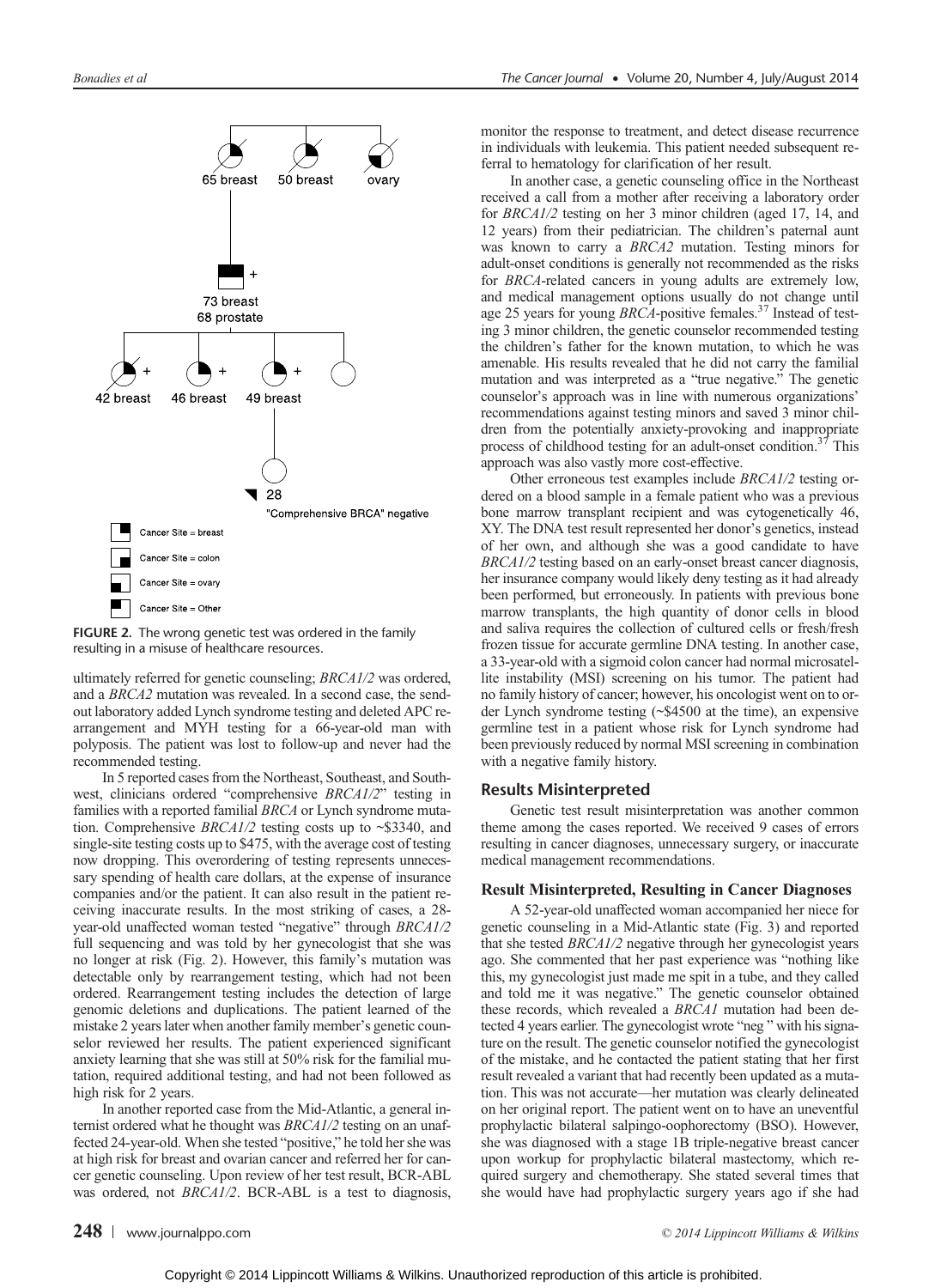

FIGURE 2. The wrong genetic test was ordered in the family resulting in a misuse of healthcare resources.

ultimately referred for genetic counseling; BRCA1/2 was ordered, and a BRCA2 mutation was revealed. In a second case, the sendout laboratory added Lynch syndrome testing and deleted APC rearrangement and MYH testing for a 66-year-old man with polyposis. The patient was lost to follow-up and never had the recommended testing.

In 5 reported cases from the Northeast, Southeast, and Southwest, clinicians ordered "comprehensive BRCA1/2" testing in families with a reported familial BRCA or Lynch syndrome mutation. Comprehensive BRCA1/2 testing costs up to ~\$3340, and single-site testing costs up to \$475, with the average cost of testing now dropping. This overordering of testing represents unnecessary spending of health care dollars, at the expense of insurance companies and/or the patient. It can also result in the patient receiving inaccurate results. In the most striking of cases, a 28 year-old unaffected woman tested "negative" through BRCA1/2 full sequencing and was told by her gynecologist that she was no longer at risk (Fig. 2). However, this family's mutation was detectable only by rearrangement testing, which had not been ordered. Rearrangement testing includes the detection of large genomic deletions and duplications. The patient learned of the mistake 2 years later when another family member's genetic counselor reviewed her results. The patient experienced significant anxiety learning that she was still at 50% risk for the familial mutation, required additional testing, and had not been followed as high risk for 2 years.

In another reported case from the Mid-Atlantic, a general internist ordered what he thought was BRCA1/2 testing on an unaffected 24-year-old. When she tested "positive," he told her she was at high risk for breast and ovarian cancer and referred her for cancer genetic counseling. Upon review of her test result, BCR-ABL was ordered, not *BRCA1/2*. BCR-ABL is a test to diagnosis, monitor the response to treatment, and detect disease recurrence in individuals with leukemia. This patient needed subsequent referral to hematology for clarification of her result.

In another case, a genetic counseling office in the Northeast received a call from a mother after receiving a laboratory order for BRCA1/2 testing on her 3 minor children (aged 17, 14, and 12 years) from their pediatrician. The children's paternal aunt was known to carry a *BRCA2* mutation. Testing minors for adult-onset conditions is generally not recommended as the risks for BRCA-related cancers in young adults are extremely low, and medical management options usually do not change until age 25 years for young BRCA-positive females.<sup>37</sup> Instead of testing 3 minor children, the genetic counselor recommended testing the children's father for the known mutation, to which he was amenable. His results revealed that he did not carry the familial mutation and was interpreted as a "true negative." The genetic counselor's approach was in line with numerous organizations' recommendations against testing minors and saved 3 minor children from the potentially anxiety-provoking and inappropriate process of childhood testing for an adult-onset condition.<sup>37</sup> This approach was also vastly more cost-effective.

Other erroneous test examples include BRCA1/2 testing ordered on a blood sample in a female patient who was a previous bone marrow transplant recipient and was cytogenetically 46, XY. The DNA test result represented her donor's genetics, instead of her own, and although she was a good candidate to have BRCA1/2 testing based on an early-onset breast cancer diagnosis, her insurance company would likely deny testing as it had already been performed, but erroneously. In patients with previous bone marrow transplants, the high quantity of donor cells in blood and saliva requires the collection of cultured cells or fresh/fresh frozen tissue for accurate germline DNA testing. In another case, a 33-year-old with a sigmoid colon cancer had normal microsatellite instability (MSI) screening on his tumor. The patient had no family history of cancer; however, his oncologist went on to order Lynch syndrome testing (~\$4500 at the time), an expensive germline test in a patient whose risk for Lynch syndrome had been previously reduced by normal MSI screening in combination with a negative family history.

#### Results Misinterpreted

Genetic test result misinterpretation was another common theme among the cases reported. We received 9 cases of errors resulting in cancer diagnoses, unnecessary surgery, or inaccurate medical management recommendations.

## Result Misinterpreted, Resulting in Cancer Diagnoses

A 52-year-old unaffected woman accompanied her niece for genetic counseling in a Mid-Atlantic state (Fig. 3) and reported that she tested BRCA1/2 negative through her gynecologist years ago. She commented that her past experience was "nothing like this, my gynecologist just made me spit in a tube, and they called and told me it was negative." The genetic counselor obtained these records, which revealed a BRCA1 mutation had been detected 4 years earlier. The gynecologist wrote "neg " with his signature on the result. The genetic counselor notified the gynecologist of the mistake, and he contacted the patient stating that her first result revealed a variant that had recently been updated as a mutation. This was not accurate—her mutation was clearly delineated on her original report. The patient went on to have an uneventful prophylactic bilateral salpingo-oophorectomy (BSO). However, she was diagnosed with a stage 1B triple-negative breast cancer upon workup for prophylactic bilateral mastectomy, which required surgery and chemotherapy. She stated several times that she would have had prophylactic surgery years ago if she had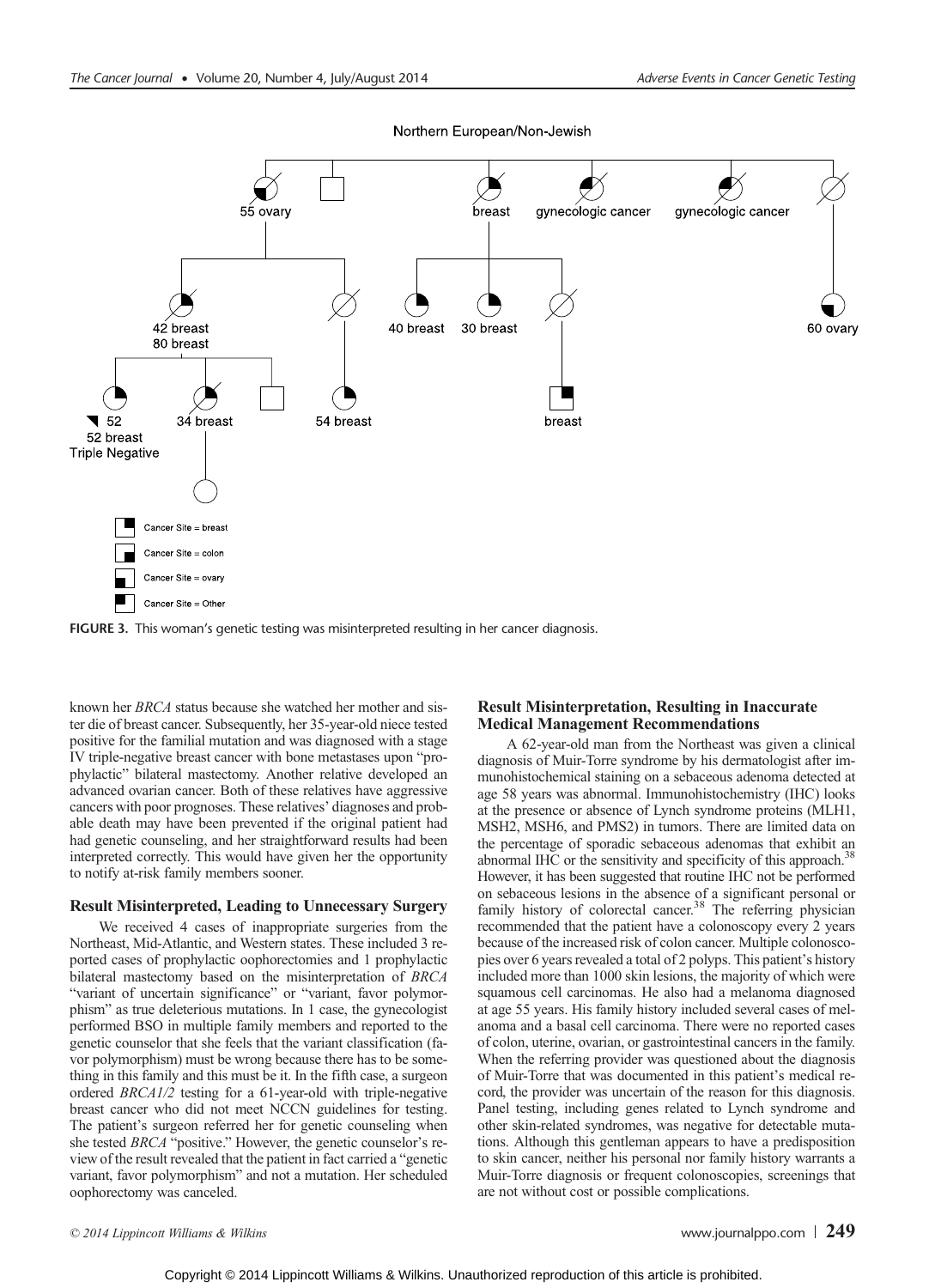

Northern European/Non-Jewish

FIGURE 3. This woman's genetic testing was misinterpreted resulting in her cancer diagnosis.

known her BRCA status because she watched her mother and sister die of breast cancer. Subsequently, her 35-year-old niece tested positive for the familial mutation and was diagnosed with a stage IV triple-negative breast cancer with bone metastases upon "prophylactic" bilateral mastectomy. Another relative developed an advanced ovarian cancer. Both of these relatives have aggressive cancers with poor prognoses. These relatives' diagnoses and probable death may have been prevented if the original patient had had genetic counseling, and her straightforward results had been interpreted correctly. This would have given her the opportunity to notify at-risk family members sooner.

#### Result Misinterpreted, Leading to Unnecessary Surgery

We received 4 cases of inappropriate surgeries from the Northeast, Mid-Atlantic, and Western states. These included 3 reported cases of prophylactic oophorectomies and 1 prophylactic bilateral mastectomy based on the misinterpretation of BRCA "variant of uncertain significance" or "variant, favor polymorphism" as true deleterious mutations. In 1 case, the gynecologist performed BSO in multiple family members and reported to the genetic counselor that she feels that the variant classification (favor polymorphism) must be wrong because there has to be something in this family and this must be it. In the fifth case, a surgeon ordered BRCA1/2 testing for a 61-year-old with triple-negative breast cancer who did not meet NCCN guidelines for testing. The patient's surgeon referred her for genetic counseling when she tested BRCA "positive." However, the genetic counselor's review of the result revealed that the patient in fact carried a "genetic variant, favor polymorphism" and not a mutation. Her scheduled oophorectomy was canceled.

# Result Misinterpretation, Resulting in Inaccurate Medical Management Recommendations

A 62-year-old man from the Northeast was given a clinical diagnosis of Muir-Torre syndrome by his dermatologist after immunohistochemical staining on a sebaceous adenoma detected at age 58 years was abnormal. Immunohistochemistry (IHC) looks at the presence or absence of Lynch syndrome proteins (MLH1, MSH2, MSH6, and PMS2) in tumors. There are limited data on the percentage of sporadic sebaceous adenomas that exhibit an abnormal IHC or the sensitivity and specificity of this approach.<sup>38</sup> However, it has been suggested that routine IHC not be performed on sebaceous lesions in the absence of a significant personal or family history of colorectal cancer.<sup>38</sup> The referring physician recommended that the patient have a colonoscopy every 2 years because of the increased risk of colon cancer. Multiple colonoscopies over 6 years revealed a total of 2 polyps. This patient's history included more than 1000 skin lesions, the majority of which were squamous cell carcinomas. He also had a melanoma diagnosed at age 55 years. His family history included several cases of melanoma and a basal cell carcinoma. There were no reported cases of colon, uterine, ovarian, or gastrointestinal cancers in the family. When the referring provider was questioned about the diagnosis of Muir-Torre that was documented in this patient's medical record, the provider was uncertain of the reason for this diagnosis. Panel testing, including genes related to Lynch syndrome and other skin-related syndromes, was negative for detectable mutations. Although this gentleman appears to have a predisposition to skin cancer, neither his personal nor family history warrants a Muir-Torre diagnosis or frequent colonoscopies, screenings that are not without cost or possible complications.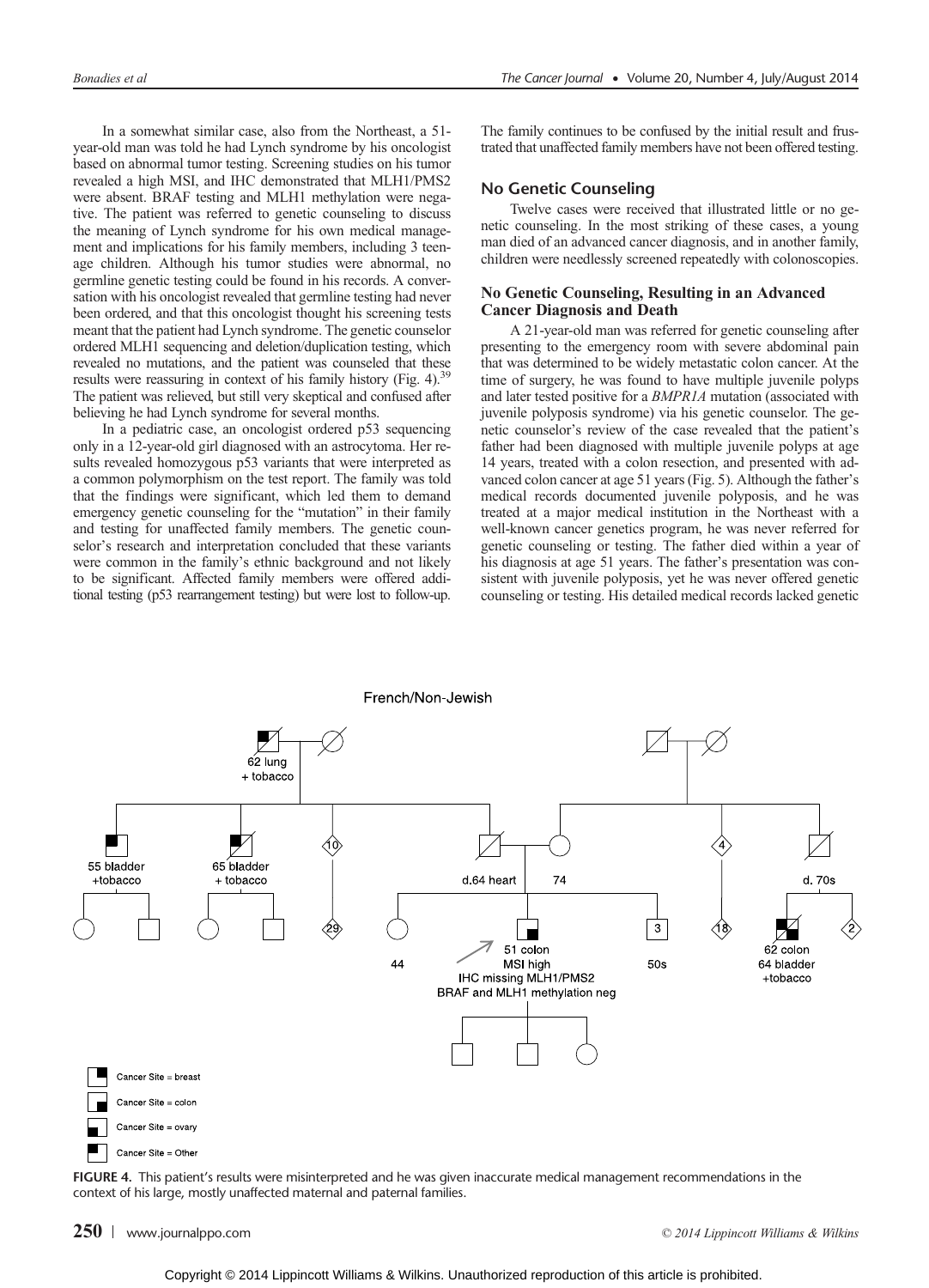In a somewhat similar case, also from the Northeast, a 51 year-old man was told he had Lynch syndrome by his oncologist based on abnormal tumor testing. Screening studies on his tumor revealed a high MSI, and IHC demonstrated that MLH1/PMS2 were absent. BRAF testing and MLH1 methylation were negative. The patient was referred to genetic counseling to discuss the meaning of Lynch syndrome for his own medical management and implications for his family members, including 3 teenage children. Although his tumor studies were abnormal, no germline genetic testing could be found in his records. A conversation with his oncologist revealed that germline testing had never been ordered, and that this oncologist thought his screening tests meant that the patient had Lynch syndrome. The genetic counselor ordered MLH1 sequencing and deletion/duplication testing, which revealed no mutations, and the patient was counseled that these results were reassuring in context of his family history (Fig. 4).<sup>35</sup> The patient was relieved, but still very skeptical and confused after believing he had Lynch syndrome for several months.

In a pediatric case, an oncologist ordered p53 sequencing only in a 12-year-old girl diagnosed with an astrocytoma. Her results revealed homozygous p53 variants that were interpreted as a common polymorphism on the test report. The family was told that the findings were significant, which led them to demand emergency genetic counseling for the "mutation" in their family and testing for unaffected family members. The genetic counselor's research and interpretation concluded that these variants were common in the family's ethnic background and not likely to be significant. Affected family members were offered additional testing (p53 rearrangement testing) but were lost to follow-up. The family continues to be confused by the initial result and frustrated that unaffected family members have not been offered testing.

## No Genetic Counseling

Twelve cases were received that illustrated little or no genetic counseling. In the most striking of these cases, a young man died of an advanced cancer diagnosis, and in another family, children were needlessly screened repeatedly with colonoscopies.

## No Genetic Counseling, Resulting in an Advanced Cancer Diagnosis and Death

A 21-year-old man was referred for genetic counseling after presenting to the emergency room with severe abdominal pain that was determined to be widely metastatic colon cancer. At the time of surgery, he was found to have multiple juvenile polyps and later tested positive for a BMPR1A mutation (associated with juvenile polyposis syndrome) via his genetic counselor. The genetic counselor's review of the case revealed that the patient's father had been diagnosed with multiple juvenile polyps at age 14 years, treated with a colon resection, and presented with advanced colon cancer at age 51 years (Fig. 5). Although the father's medical records documented juvenile polyposis, and he was treated at a major medical institution in the Northeast with a well-known cancer genetics program, he was never referred for genetic counseling or testing. The father died within a year of his diagnosis at age 51 years. The father's presentation was consistent with juvenile polyposis, yet he was never offered genetic counseling or testing. His detailed medical records lacked genetic



FIGURE 4. This patient's results were misinterpreted and he was given inaccurate medical management recommendations in the context of his large, mostly unaffected maternal and paternal families.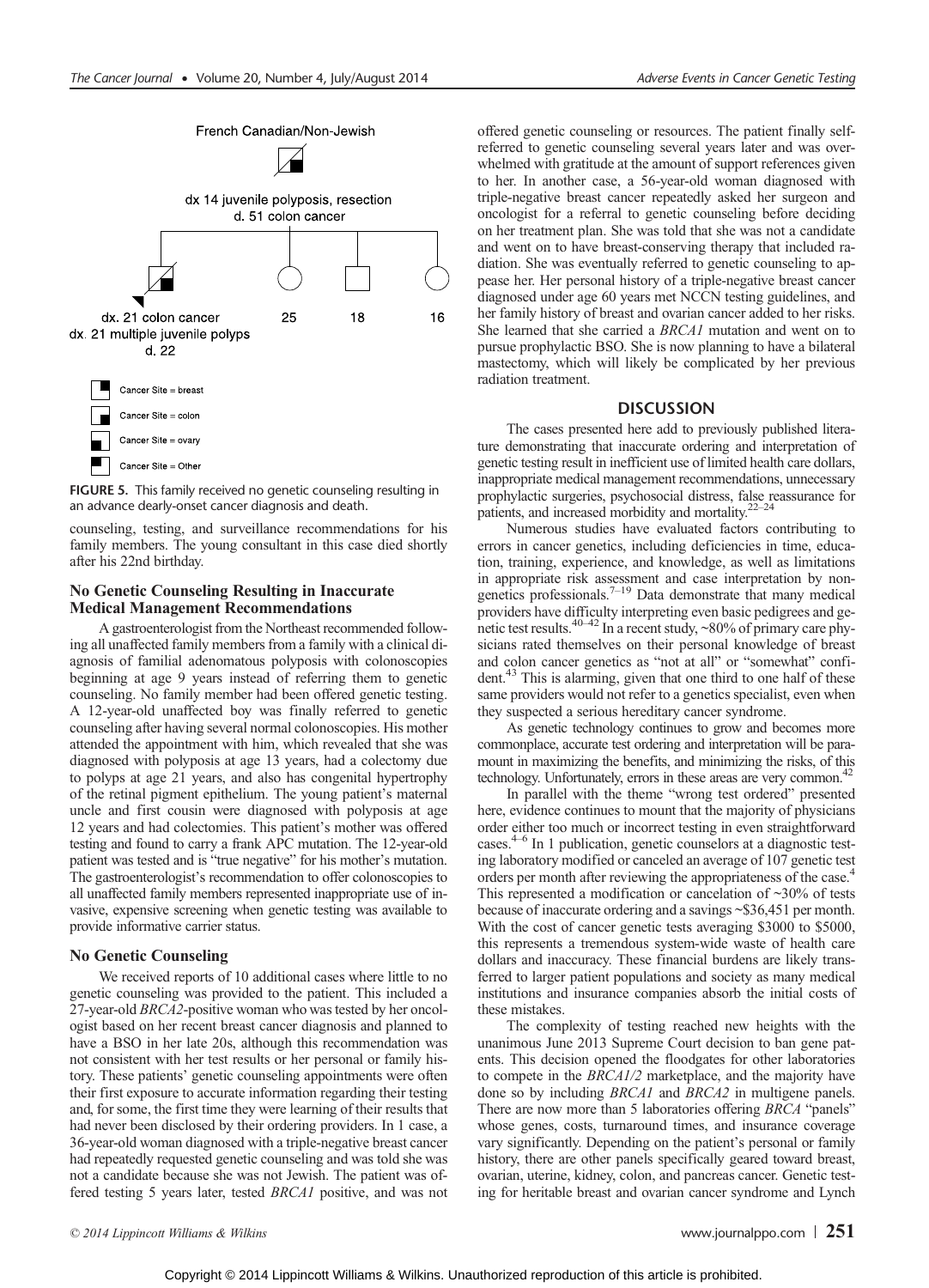

Cancer Site = ovary Cancer Site = Other

FIGURE 5. This family received no genetic counseling resulting in an advance dearly-onset cancer diagnosis and death.

counseling, testing, and surveillance recommendations for his family members. The young consultant in this case died shortly after his 22nd birthday.

## No Genetic Counseling Resulting in Inaccurate Medical Management Recommendations

A gastroenterologist from the Northeast recommended following all unaffected family members from a family with a clinical diagnosis of familial adenomatous polyposis with colonoscopies beginning at age 9 years instead of referring them to genetic counseling. No family member had been offered genetic testing. A 12-year-old unaffected boy was finally referred to genetic counseling after having several normal colonoscopies. His mother attended the appointment with him, which revealed that she was diagnosed with polyposis at age 13 years, had a colectomy due to polyps at age 21 years, and also has congenital hypertrophy of the retinal pigment epithelium. The young patient's maternal uncle and first cousin were diagnosed with polyposis at age 12 years and had colectomies. This patient's mother was offered testing and found to carry a frank APC mutation. The 12-year-old patient was tested and is "true negative" for his mother's mutation. The gastroenterologist's recommendation to offer colonoscopies to all unaffected family members represented inappropriate use of invasive, expensive screening when genetic testing was available to provide informative carrier status.

## No Genetic Counseling

We received reports of 10 additional cases where little to no genetic counseling was provided to the patient. This included a 27-year-old BRCA2-positive woman who was tested by her oncologist based on her recent breast cancer diagnosis and planned to have a BSO in her late 20s, although this recommendation was not consistent with her test results or her personal or family history. These patients' genetic counseling appointments were often their first exposure to accurate information regarding their testing and, for some, the first time they were learning of their results that had never been disclosed by their ordering providers. In 1 case, a 36-year-old woman diagnosed with a triple-negative breast cancer had repeatedly requested genetic counseling and was told she was not a candidate because she was not Jewish. The patient was offered testing 5 years later, tested BRCA1 positive, and was not offered genetic counseling or resources. The patient finally selfreferred to genetic counseling several years later and was overwhelmed with gratitude at the amount of support references given to her. In another case, a 56-year-old woman diagnosed with triple-negative breast cancer repeatedly asked her surgeon and oncologist for a referral to genetic counseling before deciding on her treatment plan. She was told that she was not a candidate and went on to have breast-conserving therapy that included radiation. She was eventually referred to genetic counseling to appease her. Her personal history of a triple-negative breast cancer diagnosed under age 60 years met NCCN testing guidelines, and her family history of breast and ovarian cancer added to her risks. She learned that she carried a BRCA1 mutation and went on to pursue prophylactic BSO. She is now planning to have a bilateral mastectomy, which will likely be complicated by her previous radiation treatment.

## **DISCUSSION**

The cases presented here add to previously published literature demonstrating that inaccurate ordering and interpretation of genetic testing result in inefficient use of limited health care dollars, inappropriate medical management recommendations, unnecessary prophylactic surgeries, psychosocial distress, false reassurance for patients, and increased morbidity and mortality.22–<sup>24</sup>

Numerous studies have evaluated factors contributing to errors in cancer genetics, including deficiencies in time, education, training, experience, and knowledge, as well as limitations in appropriate risk assessment and case interpretation by non-<br>genetics professionals.<sup>7–19</sup> Data demonstrate that many medical providers have difficulty interpreting even basic pedigrees and genetic test results.<sup>40–42</sup> In a recent study,  $\sim$ 80% of primary care physicians rated themselves on their personal knowledge of breast and colon cancer genetics as "not at all" or "somewhat" confident.<sup>43</sup> This is alarming, given that one third to one half of these same providers would not refer to a genetics specialist, even when they suspected a serious hereditary cancer syndrome.

As genetic technology continues to grow and becomes more commonplace, accurate test ordering and interpretation will be paramount in maximizing the benefits, and minimizing the risks, of this technology. Unfortunately, errors in these areas are very common. $42$ 

In parallel with the theme "wrong test ordered" presented here, evidence continues to mount that the majority of physicians order either too much or incorrect testing in even straightforward cases.4–<sup>6</sup> In 1 publication, genetic counselors at a diagnostic testing laboratory modified or canceled an average of 107 genetic test orders per month after reviewing the appropriateness of the case.4 This represented a modification or cancelation of  $\sim$ 30% of tests because of inaccurate ordering and a savings ~\$36,451 per month. With the cost of cancer genetic tests averaging \$3000 to \$5000, this represents a tremendous system-wide waste of health care dollars and inaccuracy. These financial burdens are likely transferred to larger patient populations and society as many medical institutions and insurance companies absorb the initial costs of these mistakes.

The complexity of testing reached new heights with the unanimous June 2013 Supreme Court decision to ban gene patents. This decision opened the floodgates for other laboratories to compete in the BRCA1/2 marketplace, and the majority have done so by including BRCA1 and BRCA2 in multigene panels. There are now more than 5 laboratories offering BRCA "panels" whose genes, costs, turnaround times, and insurance coverage vary significantly. Depending on the patient's personal or family history, there are other panels specifically geared toward breast, ovarian, uterine, kidney, colon, and pancreas cancer. Genetic testing for heritable breast and ovarian cancer syndrome and Lynch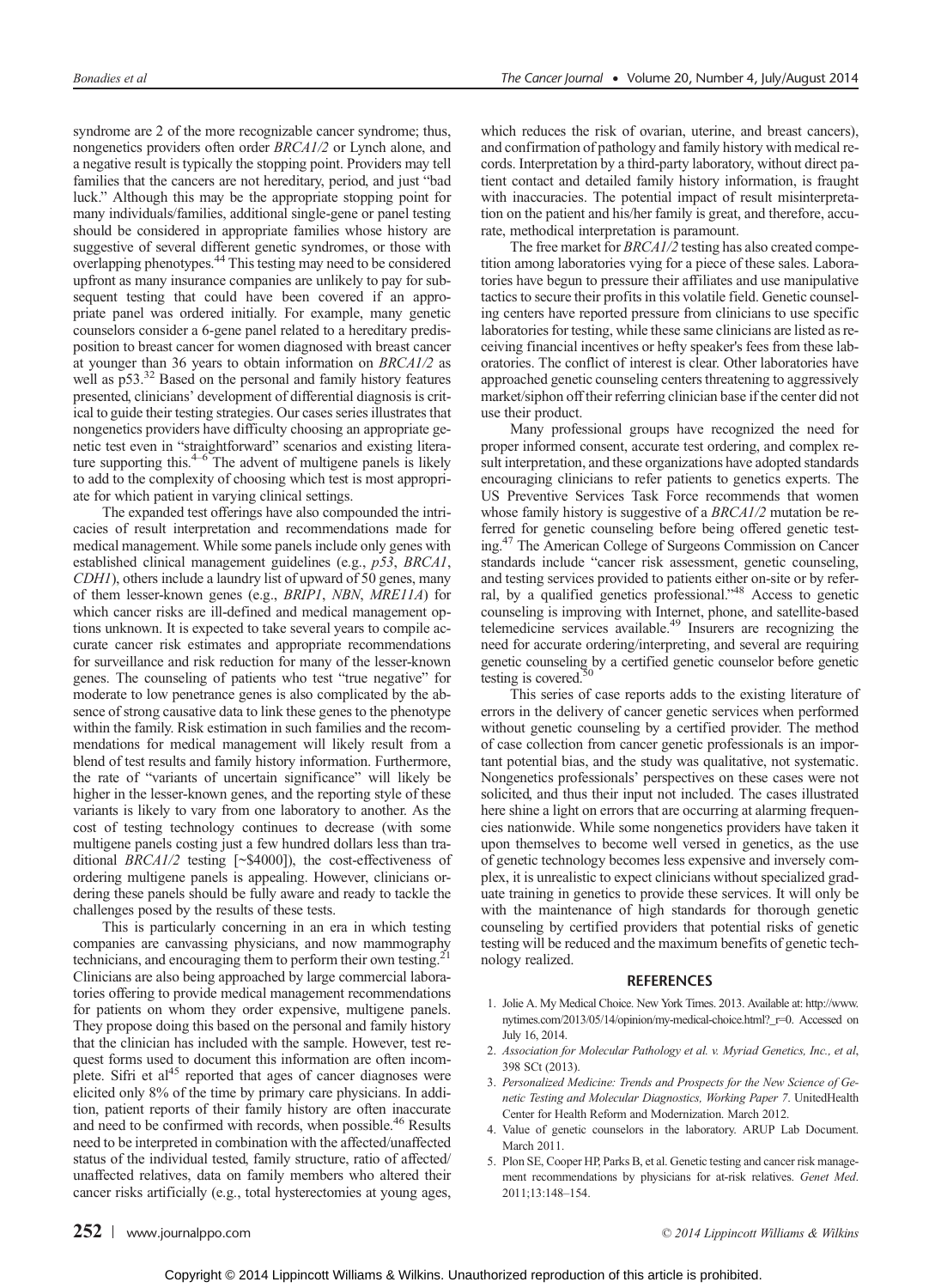syndrome are 2 of the more recognizable cancer syndrome; thus, nongenetics providers often order BRCA1/2 or Lynch alone, and a negative result is typically the stopping point. Providers may tell families that the cancers are not hereditary, period, and just "bad luck." Although this may be the appropriate stopping point for many individuals/families, additional single-gene or panel testing should be considered in appropriate families whose history are suggestive of several different genetic syndromes, or those with overlapping phenotypes.44 This testing may need to be considered upfront as many insurance companies are unlikely to pay for subsequent testing that could have been covered if an appropriate panel was ordered initially. For example, many genetic counselors consider a 6-gene panel related to a hereditary predisposition to breast cancer for women diagnosed with breast cancer at younger than 36 years to obtain information on BRCA1/2 as well as p53.<sup>32</sup> Based on the personal and family history features presented, clinicians' development of differential diagnosis is critical to guide their testing strategies. Our cases series illustrates that nongenetics providers have difficulty choosing an appropriate genetic test even in "straightforward" scenarios and existing literature supporting this. $4-6$  The advent of multigene panels is likely to add to the complexity of choosing which test is most appropriate for which patient in varying clinical settings.

The expanded test offerings have also compounded the intricacies of result interpretation and recommendations made for medical management. While some panels include only genes with established clinical management guidelines (e.g., p53, BRCA1, CDH1), others include a laundry list of upward of 50 genes, many of them lesser-known genes (e.g., BRIP1, NBN, MRE11A) for which cancer risks are ill-defined and medical management options unknown. It is expected to take several years to compile accurate cancer risk estimates and appropriate recommendations for surveillance and risk reduction for many of the lesser-known genes. The counseling of patients who test "true negative" for moderate to low penetrance genes is also complicated by the absence of strong causative data to link these genes to the phenotype within the family. Risk estimation in such families and the recommendations for medical management will likely result from a blend of test results and family history information. Furthermore, the rate of "variants of uncertain significance" will likely be higher in the lesser-known genes, and the reporting style of these variants is likely to vary from one laboratory to another. As the cost of testing technology continues to decrease (with some multigene panels costing just a few hundred dollars less than traditional *BRCA1/2* testing [~\$4000]), the cost-effectiveness of ordering multigene panels is appealing. However, clinicians ordering these panels should be fully aware and ready to tackle the challenges posed by the results of these tests.

This is particularly concerning in an era in which testing companies are canvassing physicians, and now mammography technicians, and encouraging them to perform their own testing.<sup>21</sup> Clinicians are also being approached by large commercial laboratories offering to provide medical management recommendations for patients on whom they order expensive, multigene panels. They propose doing this based on the personal and family history that the clinician has included with the sample. However, test request forms used to document this information are often incomplete. Sifri et al<sup>45</sup> reported that ages of cancer diagnoses were elicited only 8% of the time by primary care physicians. In addition, patient reports of their family history are often inaccurate and need to be confirmed with records, when possible.<sup>46</sup> Results need to be interpreted in combination with the affected/unaffected status of the individual tested, family structure, ratio of affected/ unaffected relatives, data on family members who altered their cancer risks artificially (e.g., total hysterectomies at young ages,

which reduces the risk of ovarian, uterine, and breast cancers), and confirmation of pathology and family history with medical records. Interpretation by a third-party laboratory, without direct patient contact and detailed family history information, is fraught with inaccuracies. The potential impact of result misinterpretation on the patient and his/her family is great, and therefore, accurate, methodical interpretation is paramount.

The free market for *BRCA1/2* testing has also created competition among laboratories vying for a piece of these sales. Laboratories have begun to pressure their affiliates and use manipulative tactics to secure their profits in this volatile field. Genetic counseling centers have reported pressure from clinicians to use specific laboratories for testing, while these same clinicians are listed as receiving financial incentives or hefty speaker's fees from these laboratories. The conflict of interest is clear. Other laboratories have approached genetic counseling centers threatening to aggressively market/siphon off their referring clinician base if the center did not use their product.

Many professional groups have recognized the need for proper informed consent, accurate test ordering, and complex result interpretation, and these organizations have adopted standards encouraging clinicians to refer patients to genetics experts. The US Preventive Services Task Force recommends that women whose family history is suggestive of a BRCA1/2 mutation be referred for genetic counseling before being offered genetic testing.<sup>47</sup> The American College of Surgeons Commission on Cancer standards include "cancer risk assessment, genetic counseling, and testing services provided to patients either on-site or by referral, by a qualified genetics professional."<sup>48</sup> Access to genetic counseling is improving with Internet, phone, and satellite-based telemedicine services available.<sup>49</sup> Insurers are recognizing the need for accurate ordering/interpreting, and several are requiring genetic counseling by a certified genetic counselor before genetic testing is covered.

This series of case reports adds to the existing literature of errors in the delivery of cancer genetic services when performed without genetic counseling by a certified provider. The method of case collection from cancer genetic professionals is an important potential bias, and the study was qualitative, not systematic. Nongenetics professionals' perspectives on these cases were not solicited, and thus their input not included. The cases illustrated here shine a light on errors that are occurring at alarming frequencies nationwide. While some nongenetics providers have taken it upon themselves to become well versed in genetics, as the use of genetic technology becomes less expensive and inversely complex, it is unrealistic to expect clinicians without specialized graduate training in genetics to provide these services. It will only be with the maintenance of high standards for thorough genetic counseling by certified providers that potential risks of genetic testing will be reduced and the maximum benefits of genetic technology realized.

#### **REFERENCES**

- 1. Jolie A. My Medical Choice. New York Times. 2013. Available at: http://www. nytimes.com/2013/05/14/opinion/my-medical-choice.html?\_r=0. Accessed on July 16, 2014.
- 2. Association for Molecular Pathology et al. v. Myriad Genetics, Inc., et al, 398 SCt (2013).
- 3. Personalized Medicine: Trends and Prospects for the New Science of Genetic Testing and Molecular Diagnostics, Working Paper 7. UnitedHealth Center for Health Reform and Modernization. March 2012.
- 4. Value of genetic counselors in the laboratory. ARUP Lab Document. March 2011.
- 5. Plon SE, Cooper HP, Parks B, et al. Genetic testing and cancer risk management recommendations by physicians for at-risk relatives. Genet Med. 2011;13:148–154.